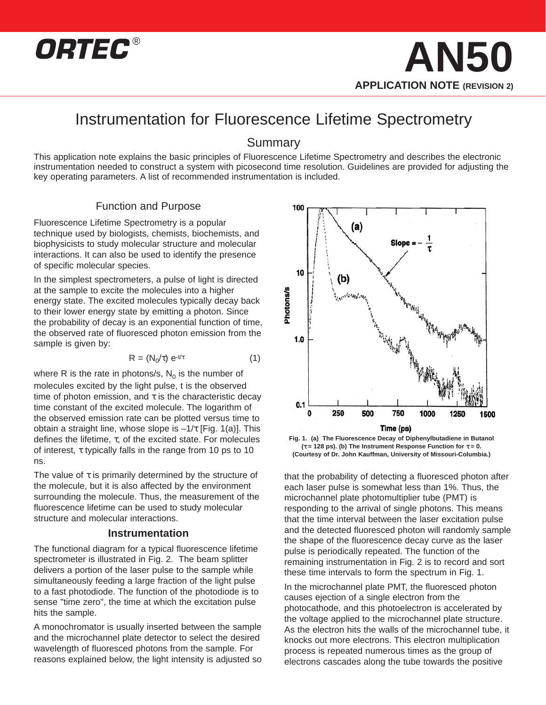

### Instrumentation for Fluorescence Lifetime Spectrometry

#### Summary

This application note explains the basic principles of Fluorescence Lifetime Spectrometry and describes the electronic instrumentation needed to construct a system with picosecond time resolution. Guidelines are provided for adjusting the key operating parameters. A list of recommended instrumentation is included.

#### Function and Purpose

Fluorescence Lifetime Spectrometry is a popular technique used by biologists, chemists, biochemists, and biophysicists to study molecular structure and molecular interactions. It can also be used to identify the presence of specific molecular species.

In the simplest spectrometers, a pulse of light is directed at the sample to excite the molecules into a higher energy state. The excited molecules typically decay back to their lower energy state by emitting a photon. Since the probability of decay is an exponential function of time, the observed rate of fluoresced photon emission from the sample is given by:

$$
R = (N_0/\tau) e^{-t/\tau}
$$
 (1)

where R is the rate in photons/s,  $N_0$  is the number of molecules excited by the light pulse, t is the observed time of photon emission, and  $\tau$  is the characteristic decay time constant of the excited molecule. The logarithm of the observed emission rate can be plotted versus time to obtain a straight line, whose slope is  $-1/\tau$  [Fig. 1(a)]. This defines the lifetime, τ, of the excited state. For molecules of interest, τ typically falls in the range from 10 ps to 10 ns.

The value of  $\tau$  is primarily determined by the structure of the molecule, but it is also affected by the environment surrounding the molecule. Thus, the measurement of the fluorescence lifetime can be used to study molecular structure and molecular interactions.

#### **Instrumentation**

The functional diagram for a typical fluorescence lifetime spectrometer is illustrated in Fig. 2. The beam splitter delivers a portion of the laser pulse to the sample while simultaneously feeding a large fraction of the light pulse to a fast photodiode. The function of the photodiode is to sense "time zero", the time at which the excitation pulse hits the sample.

A monochromator is usually inserted between the sample and the microchannel plate detector to select the desired wavelength of fluoresced photons from the sample. For reasons explained below, the light intensity is adjusted so



**Fig. 1. (a) The Fluorescence Decay of Diphenylbutadiene in Butanol (**τ **= 128 ps). (b) The Instrument Response Function for** τ **= 0. (Courtesy of Dr. John Kauffman, University of Missouri-Columbia.)**

that the probability of detecting a fluoresced photon after each laser pulse is somewhat less than 1%. Thus, the microchannel plate photomultiplier tube (PMT) is responding to the arrival of single photons. This means that the time interval between the laser excitation pulse and the detected fluoresced photon will randomly sample the shape of the fluorescence decay curve as the laser pulse is periodically repeated. The function of the remaining instrumentation in Fig. 2 is to record and sort these time intervals to form the spectrum in Fig. 1.

In the microchannel plate PMT, the fluoresced photon causes ejection of a single electron from the photocathode, and this photoelectron is accelerated by the voltage applied to the microchannel plate structure. As the electron hits the walls of the microchannel tube, it knocks out more electrons. This electron multiplication process is repeated numerous times as the group of electrons cascades along the tube towards the positive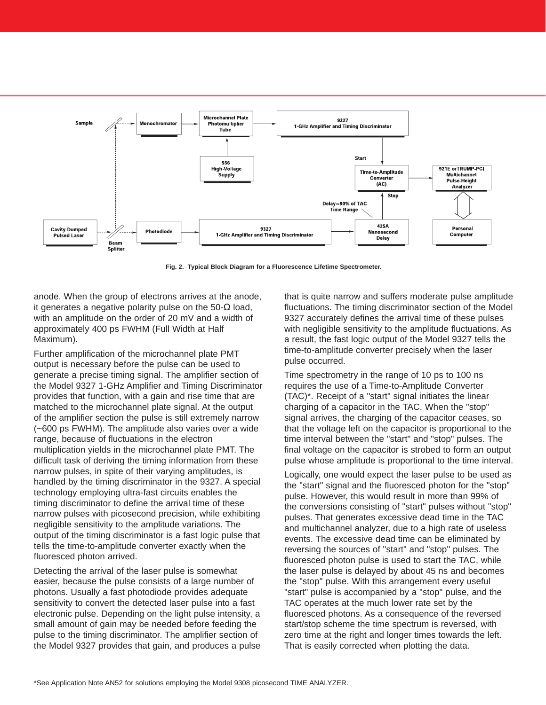

**Fig. 2. Typical Block Diagram for a Fluorescence Lifetime Spectrometer.**

anode. When the group of electrons arrives at the anode, it generates a negative polarity pulse on the 50-Ω load, with an amplitude on the order of 20 mV and a width of approximately 400 ps FWHM (Full Width at Half Maximum).

Further amplification of the microchannel plate PMT output is necessary before the pulse can be used to generate a precise timing signal. The amplifier section of the Model 9327 1-GHz Amplifier and Timing Discriminator provides that function, with a gain and rise time that are matched to the microchannel plate signal. At the output of the amplifier section the pulse is still extremely narrow (~600 ps FWHM). The amplitude also varies over a wide range, because of fluctuations in the electron multiplication yields in the microchannel plate PMT. The difficult task of deriving the timing information from these narrow pulses, in spite of their varying amplitudes, is handled by the timing discriminator in the 9327. A special technology employing ultra-fast circuits enables the timing discriminator to define the arrival time of these narrow pulses with picosecond precision, while exhibiting negligible sensitivity to the amplitude variations. The output of the timing discriminator is a fast logic pulse that tells the time-to-amplitude converter exactly when the fluoresced photon arrived.

Detecting the arrival of the laser pulse is somewhat easier, because the pulse consists of a large number of photons. Usually a fast photodiode provides adequate sensitivity to convert the detected laser pulse into a fast electronic pulse. Depending on the light pulse intensity, a small amount of gain may be needed before feeding the pulse to the timing discriminator. The amplifier section of the Model 9327 provides that gain, and produces a pulse

that is quite narrow and suffers moderate pulse amplitude fluctuations. The timing discriminator section of the Model 9327 accurately defines the arrival time of these pulses with negligible sensitivity to the amplitude fluctuations. As a result, the fast logic output of the Model 9327 tells the time-to-amplitude converter precisely when the laser pulse occurred.

Time spectrometry in the range of 10 ps to 100 ns requires the use of a Time-to-Amplitude Converter (TAC)\*. Receipt of a "start" signal initiates the linear charging of a capacitor in the TAC. When the "stop" signal arrives, the charging of the capacitor ceases, so that the voltage left on the capacitor is proportional to the time interval between the "start" and "stop" pulses. The final voltage on the capacitor is strobed to form an output pulse whose amplitude is proportional to the time interval.

Logically, one would expect the laser pulse to be used as the "start" signal and the fluoresced photon for the "stop" pulse. However, this would result in more than 99% of the conversions consisting of "start" pulses without "stop" pulses. That generates excessive dead time in the TAC and multichannel analyzer, due to a high rate of useless events. The excessive dead time can be eliminated by reversing the sources of "start" and "stop" pulses. The fluoresced photon pulse is used to start the TAC, while the laser pulse is delayed by about 45 ns and becomes the "stop" pulse. With this arrangement every useful "start" pulse is accompanied by a "stop" pulse, and the TAC operates at the much lower rate set by the fluoresced photons. As a consequence of the reversed start/stop scheme the time spectrum is reversed, with zero time at the right and longer times towards the left. That is easily corrected when plotting the data.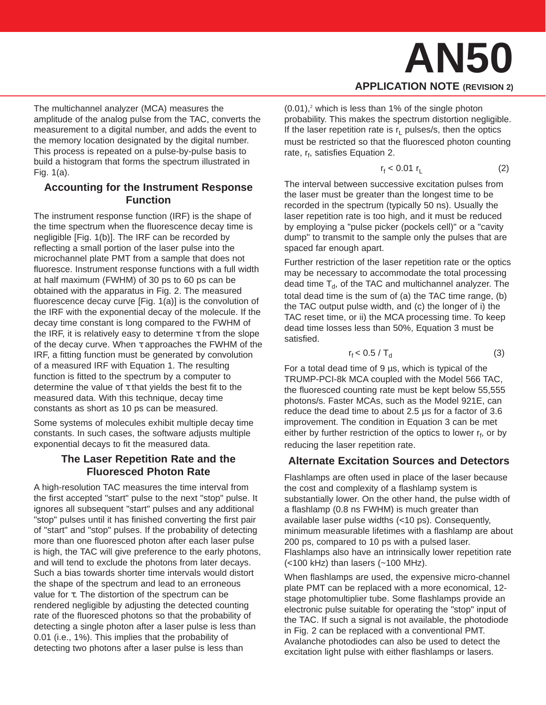## **AN50 APPLICATION NOTE (REVISION 2)**

The multichannel analyzer (MCA) measures the amplitude of the analog pulse from the TAC, converts the measurement to a digital number, and adds the event to the memory location designated by the digital number. This process is repeated on a pulse-by-pulse basis to build a histogram that forms the spectrum illustrated in Fig. 1(a).

#### **Accounting for the Instrument Response Function**

The instrument response function (IRF) is the shape of the time spectrum when the fluorescence decay time is negligible [Fig. 1(b)]. The IRF can be recorded by reflecting a small portion of the laser pulse into the microchannel plate PMT from a sample that does not fluoresce. Instrument response functions with a full width at half maximum (FWHM) of 30 ps to 60 ps can be obtained with the apparatus in Fig. 2. The measured fluorescence decay curve [Fig. 1(a)] is the convolution of the IRF with the exponential decay of the molecule. If the decay time constant is long compared to the FWHM of the IRF, it is relatively easy to determine  $τ$  from the slope of the decay curve. When  $\tau$  approaches the FWHM of the IRF, a fitting function must be generated by convolution of a measured IRF with Equation 1. The resulting function is fitted to the spectrum by a computer to determine the value of  $\tau$  that yields the best fit to the measured data. With this technique, decay time constants as short as 10 ps can be measured.

Some systems of molecules exhibit multiple decay time constants. In such cases, the software adjusts multiple exponential decays to fit the measured data.

#### **The Laser Repetition Rate and the Fluoresced Photon Rate**

A high-resolution TAC measures the time interval from the first accepted "start" pulse to the next "stop" pulse. It ignores all subsequent "start" pulses and any additional "stop" pulses until it has finished converting the first pair of "start" and "stop" pulses. If the probability of detecting more than one fluoresced photon after each laser pulse is high, the TAC will give preference to the early photons, and will tend to exclude the photons from later decays. Such a bias towards shorter time intervals would distort the shape of the spectrum and lead to an erroneous value for τ. The distortion of the spectrum can be rendered negligible by adjusting the detected counting rate of the fluoresced photons so that the probability of detecting a single photon after a laser pulse is less than 0.01 (i.e., 1%). This implies that the probability of detecting two photons after a laser pulse is less than

 $(0.01)$ ,<sup>2</sup> which is less than 1% of the single photon probability. This makes the spectrum distortion negligible. If the laser repetition rate is  $r<sub>L</sub>$  pulses/s, then the optics must be restricted so that the fluoresced photon counting rate, r<sub>f</sub>, satisfies Equation 2.

$$
r_{f} < 0.01 r_{L} \tag{2}
$$

The interval between successive excitation pulses from the laser must be greater than the longest time to be recorded in the spectrum (typically 50 ns). Usually the laser repetition rate is too high, and it must be reduced by employing a "pulse picker (pockels cell)" or a "cavity dump" to transmit to the sample only the pulses that are spaced far enough apart.

Further restriction of the laser repetition rate or the optics may be necessary to accommodate the total processing dead time  $T_d$ , of the TAC and multichannel analyzer. The total dead time is the sum of (a) the TAC time range, (b) the TAC output pulse width, and (c) the longer of i) the TAC reset time, or ii) the MCA processing time. To keep dead time losses less than 50%, Equation 3 must be satisfied.

$$
r_{f} < 0.5 / T_{d} \tag{3}
$$

For a total dead time of 9 µs, which is typical of the TRUMP-PCI-8k MCA coupled with the Model 566 TAC, the fluoresced counting rate must be kept below 55,555 photons/s. Faster MCAs, such as the Model 921E, can reduce the dead time to about 2.5 µs for a factor of 3.6 improvement. The condition in Equation 3 can be met either by further restriction of the optics to lower  $r_f$ , or by reducing the laser repetition rate.

#### **Alternate Excitation Sources and Detectors**

Flashlamps are often used in place of the laser because the cost and complexity of a flashlamp system is substantially lower. On the other hand, the pulse width of a flashlamp (0.8 ns FWHM) is much greater than available laser pulse widths (<10 ps). Consequently, minimum measurable lifetimes with a flashlamp are about 200 ps, compared to 10 ps with a pulsed laser. Flashlamps also have an intrinsically lower repetition rate (<100 kHz) than lasers (~100 MHz).

When flashlamps are used, the expensive micro-channel plate PMT can be replaced with a more economical, 12 stage photomultiplier tube. Some flashlamps provide an electronic pulse suitable for operating the "stop" input of the TAC. If such a signal is not available, the photodiode in Fig. 2 can be replaced with a conventional PMT. Avalanche photodiodes can also be used to detect the excitation light pulse with either flashlamps or lasers.